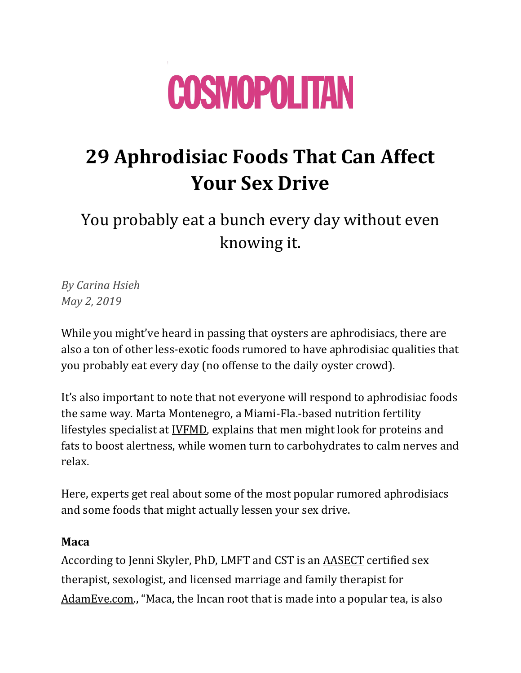

# **29 Aphrodisiac Foods That Can Affect Your Sex Drive**

You probably eat a bunch every day without even knowing it.

*By Carina Hsieh May 2, 2019*

While you might've heard in passing that oysters are aphrodisiacs, there are also a ton of other less-exotic foods rumored to have aphrodisiac qualities that you probably eat every day (no offense to the daily oyster crowd).

It's also important to note that not everyone will respond to aphrodisiac foods the same way. Marta Montenegro, a Miami-Fla.-based nutrition fertility lifestyles specialist at [IVFMD,](https://urldefense.proofpoint.com/v2/url?u=https-3A__www.ivfmd.com_&d=DwMFaQ&c=B73tqXN8Ec0ocRmZHMCntw&r=EKdOoDYZ-k6oF2he9ts6nWBIxhDBOb3ucwhPRSy2eiM&m=yqoYpnIqyuL4Um3f3zz-uVQHd-7z-UnJ--ijBPtrU_Q&s=ZJniRndxE2srOSwedTROJm__w-CKeTRduNkajvUyAtQ&e=) explains that men might look for proteins and fats to boost alertness, while women turn to carbohydrates to calm nerves and relax.

Here, experts get real about some of the most popular rumored aphrodisiacs and some foods that might actually lessen your sex drive.

#### **Maca**

According to Jenni Skyler, PhD, LMFT and CST is an [AASECT](https://urldefense.proofpoint.com/v2/url?u=http-3A__t.yesware.com_tt_1a306ec031897ee06eb83c625b9ed1ea25079fbd_8d6290909e5285113a28f76147595fb8_eb1d7af47f23caa1c961263533fd80d8_www.aasect.org_&d=DwMFaQ&c=B73tqXN8Ec0ocRmZHMCntw&r=EKdOoDYZ-k6oF2he9ts6nWBIxhDBOb3ucwhPRSy2eiM&m=xZMDz3YwVVAysSK3KqCSjpNAdknwOVn1caHfhvb8Xbo&s=p1C2-hU1amrBT0g1K_MQpPPXnNDLp0NbTj6lTMGH5D8&e=) certified sex therapist, sexologist, and licensed marriage and family therapist for [AdamEve.com](https://urldefense.proofpoint.com/v2/url?u=http-3A__t.yesware.com_tt_1a306ec031897ee06eb83c625b9ed1ea25079fbd_8d6290909e5285113a28f76147595fb8_c461ec581e107850447f67adedd6dc14_adameve.com_&d=DwMFaQ&c=B73tqXN8Ec0ocRmZHMCntw&r=EKdOoDYZ-k6oF2he9ts6nWBIxhDBOb3ucwhPRSy2eiM&m=xZMDz3YwVVAysSK3KqCSjpNAdknwOVn1caHfhvb8Xbo&s=4SjLS9ARoZRC16flhyI0S-b8HpuKoeMBKc6fswBJWIc&e=)., "Maca, the Incan root that is made into a popular tea, is also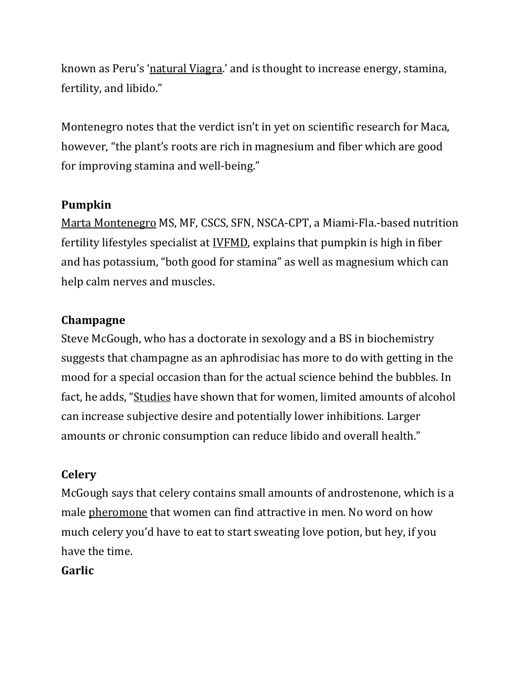known as Peru's '[natural Viagra](http://www.medicinehunter.com/maca-and-sex/).' and is thought to increase energy, stamina, fertility, and libido."

Montenegro notes that the verdict isn't in yet on scientific research for Maca, however, "the plant's roots are rich in magnesium and fiber which are good for improving stamina and well-being."

## **Pumpkin**

[Marta Montenegro](https://urldefense.proofpoint.com/v2/url?u=https-3A__www.ivfmd.com_about-2Dus_providers_marta-2Dmontenegro_&d=DwMFaQ&c=B73tqXN8Ec0ocRmZHMCntw&r=EKdOoDYZ-k6oF2he9ts6nWBIxhDBOb3ucwhPRSy2eiM&m=yqoYpnIqyuL4Um3f3zz-uVQHd-7z-UnJ--ijBPtrU_Q&s=r_tKpkFJCSfzRVDp3-jQmJRpPfzs8_EiQUkRNxx2VAE&e=) MS, MF, CSCS, SFN, NSCA-CPT, a Miami-Fla.-based nutrition fertility lifestyles specialist at [IVFMD,](https://urldefense.proofpoint.com/v2/url?u=https-3A__www.ivfmd.com_&d=DwMFaQ&c=B73tqXN8Ec0ocRmZHMCntw&r=EKdOoDYZ-k6oF2he9ts6nWBIxhDBOb3ucwhPRSy2eiM&m=yqoYpnIqyuL4Um3f3zz-uVQHd-7z-UnJ--ijBPtrU_Q&s=ZJniRndxE2srOSwedTROJm__w-CKeTRduNkajvUyAtQ&e=) explains that pumpkin is high in fiber and has potassium, "both good for stamina" as well as magnesium which can help calm nerves and muscles.

#### **Champagne**

Steve McGough, who has a doctorate in sexology and a BS in biochemistry suggests that champagne as an aphrodisiac has more to do with getting in the mood for a special occasion than for the actual science behind the bubbles. In fact, he adds, "[Studies](https://www.ncbi.nlm.nih.gov/pubmed/7624547) have shown that for women, limited amounts of alcohol can increase subjective desire and potentially lower inhibitions. Larger amounts or chronic consumption can reduce libido and overall health."

#### **Celery**

McGough says that celery contains small amounts of androstenone, which is a male [pheromone](https://www.ncbi.nlm.nih.gov/pubmed/2813372) that women can find attractive in men. No word on how much celery you'd have to eat to start sweating love potion, but hey, if you have the time.

#### **Garlic**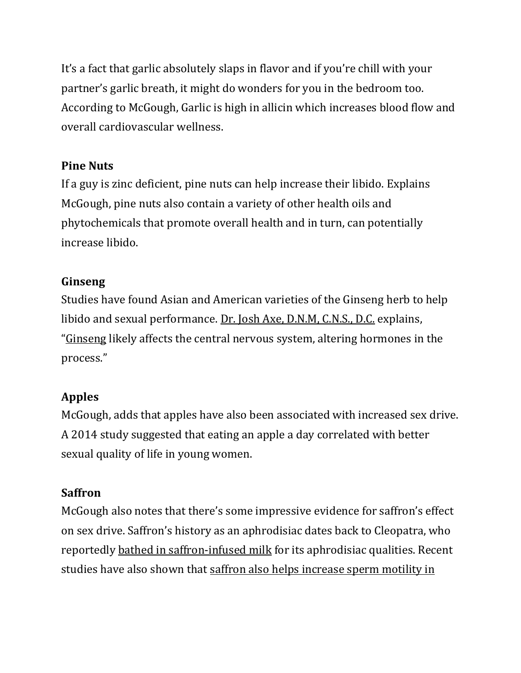It's a fact that garlic absolutely slaps in flavor and if you're chill with your partner's garlic breath, it might do wonders for you in the bedroom too. According to McGough, Garlic is high in allicin which increases blood flow and overall cardiovascular wellness.

#### **Pine Nuts**

If a guy is zinc deficient, pine nuts can help increase their libido. Explains McGough, pine nuts also contain a variety of other health oils and phytochemicals that promote overall health and in turn, can potentially increase libido.

## **Ginseng**

Studies have found Asian and American varieties of the Ginseng herb to help libido and sexual performance. [Dr. Josh Axe, D.N.M, C.N.S., D.C.](https://draxe.com/about-dr-josh-axe/) explains, "[Ginseng](https://urldefense.proofpoint.com/v2/url?u=https-3A__draxe.com_ginseng-2Dbenefits_&d=DwMFaQ&c=B73tqXN8Ec0ocRmZHMCntw&r=EKdOoDYZ-k6oF2he9ts6nWBIxhDBOb3ucwhPRSy2eiM&m=lFqPsy134Ajy1mzHoPzyhuIwlpgCiVptbPy_WTQmf8g&s=W6Ldb3vljS_14Itt5IPNUkjr4esGI4VwX0c5Q75FohE&e=) likely affects the central nervous system, altering hormones in the process."

# **Apples**

McGough, adds that apples have also been associated with increased sex drive. A 2014 study suggested that eating an apple a day correlated with better sexual quality of life in young women.

# **Saffron**

McGough also notes that there's some impressive evidence for saffron's effect on sex drive. Saffron's history as an aphrodisiac dates back to Cleopatra, who reportedly [bathed in saffron-infused milk](https://qz.com/994082/the-ancient-indian-aphrodisiacs-from-the-kamasutra-lurking-in-your-cupboard/) for its aphrodisiac qualities. Recent studies have also shown that saffron also helps increase sperm motility in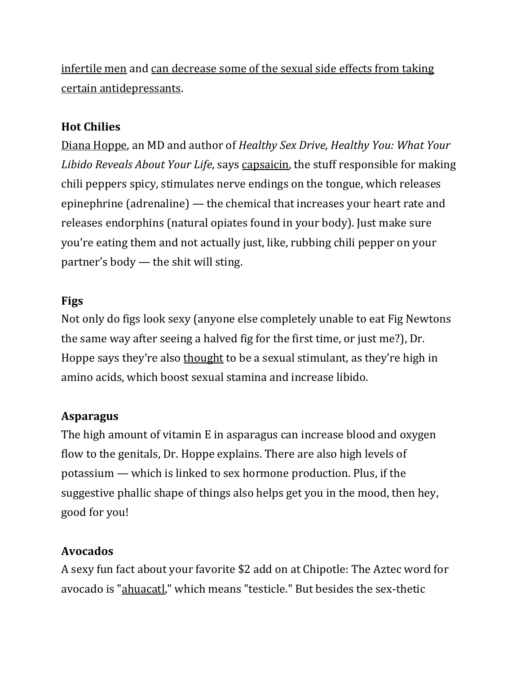[infertile men](https://www.ncbi.nlm.nih.gov/pubmed/19101900) and [can decrease some of the sexual side effects from taking](https://www.ncbi.nlm.nih.gov/pubmed/23280545)  [certain antidepressants.](https://www.ncbi.nlm.nih.gov/pubmed/23280545)

## **Hot Chilies**

[Diana Hoppe,](http://www.drdianahoppe.com/) an MD and author of *Healthy Sex Drive, Healthy You: What Your Libido Reveals About Your Life*, says [capsaicin,](http://www.nytimes.com/2010/02/10/dining/10erotic.html?) the stuff responsible for making chili peppers spicy, stimulates nerve endings on the tongue, which releases epinephrine (adrenaline) — the chemical that increases your heart rate and releases endorphins (natural opiates found in your body). Just make sure you're eating them and not actually just, like, rubbing chili pepper on your partner's body — the shit will sting.

#### **Figs**

Not only do figs look sexy (anyone else completely unable to eat Fig Newtons the same way after seeing a halved fig for the first time, or just me?), Dr. Hoppe says they're also [thought](http://www.pbs.org/food/the-history-kitchen/10-edible-aphrodisiacs/) to be a sexual stimulant, as they're high in amino acids, which boost sexual stamina and increase libido.

# **Asparagus**

The high amount of vitamin E in asparagus can increase blood and oxygen flow to the genitals, Dr. Hoppe explains. There are also high levels of potassium — which is linked to sex hormone production. Plus, if the suggestive phallic shape of things also helps get you in the mood, then hey, good for you!

#### **Avocados**

A sexy fun fact about your favorite \$2 add on at Chipotle: The Aztec word for avocado is ["ahuacatl,](http://www.smithsonianmag.com/arts-culture/why-the-avocado-should-have-gone-the-way-of-the-dodo-4976527/)" which means "testicle." But besides the sex-thetic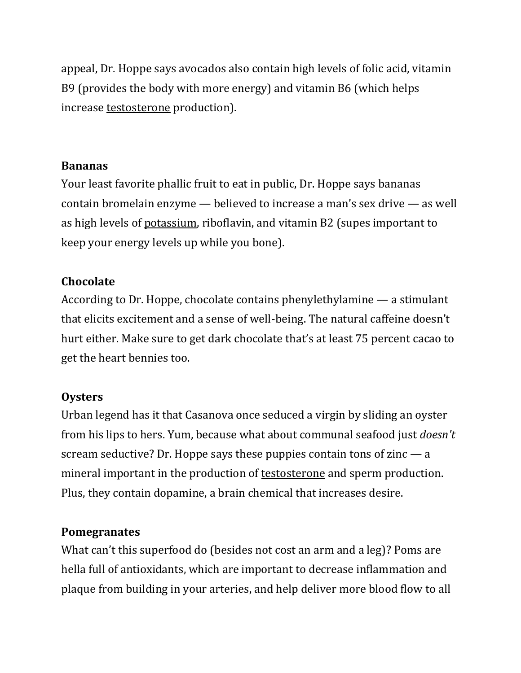appeal, Dr. Hoppe says avocados also contain high levels of folic acid, vitamin B9 (provides the body with more energy) and vitamin B6 (which helps increase [testosterone](https://www.ncbi.nlm.nih.gov/pubmed/6727359) production).

#### **Bananas**

Your least favorite phallic fruit to eat in public, Dr. Hoppe says bananas contain bromelain enzyme — believed to increase a man's sex drive — as well as high levels of [potassium,](http://www.independent.co.uk/life-style/food-and-drink/features/aphrodisiacs-10-best-foods-to-get-you-in-the-mood-10043642.html) riboflavin, and vitamin B2 (supes important to keep your energy levels up while you bone).

#### **Chocolate**

According to Dr. Hoppe, chocolate contains phenylethylamine — a stimulant that elicits excitement and a sense of well-being. The natural caffeine doesn't hurt either. Make sure to get dark chocolate that's at least 75 percent cacao to get the heart bennies too.

#### **Oysters**

Urban legend has it that Casanova once seduced a virgin by sliding an oyster from his lips to hers. Yum, because what about communal seafood just *doesn't* scream seductive? Dr. Hoppe says these puppies contain tons of zinc  $-$  a mineral important in the production of [testosterone](https://www.ncbi.nlm.nih.gov/pubmed/8875519) and sperm production. Plus, they contain dopamine, a brain chemical that increases desire.

#### **Pomegranates**

What can't this superfood do (besides not cost an arm and a leg)? Poms are hella full of antioxidants, which are important to decrease inflammation and plaque from building in your arteries, and help deliver more blood flow to all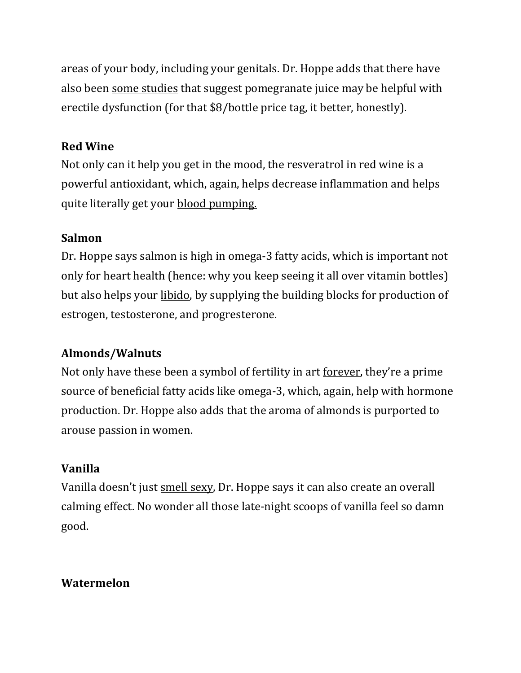areas of your body, including your genitals. Dr. Hoppe adds that there have also been [some studies](http://www.science20.com/news_articles/pomegranate_juice_acts_viagra-2505) that suggest pomegranate juice may be helpful with erectile dysfunction (for that \$8/bottle price tag, it better, honestly).

### **Red Wine**

Not only can it help you get in the mood, the resveratrol in red wine is a powerful antioxidant, which, again, helps decrease inflammation and helps quite literally get your [blood pumping.](http://onlinelibrary.wiley.com/doi/10.1113/expphysiol.2009.048223/full)

## **Salmon**

Dr. Hoppe says salmon is high in omega-3 fatty acids, which is important not only for heart health (hence: why you keep seeing it all over vitamin bottles) but also helps your [libido,](http://www.redbookmag.com/love-sex/sex/a48521/aphrodisiac-foods-diet/) by supplying the building blocks for production of estrogen, testosterone, and progresterone.

# **Almonds/Walnuts**

Not only have these been a symbol of fertility in art [forever](https://books.google.com/books?id=8LtPeLH3iHYC&pg=PA172&lpg=PA172&dq=walnuts+fertility+symbol&source=bl&ots=dYscfmfHI7&sig=LDabUCk3cad4Qs4W_VDA16rBMMQ&hl=en&sa=X&ved=0ahUKEwjQp_iZisPTAhXl7oMKHflCCSwQ6AEIZjAN#v=onepage&q=walnuts%20fertility%20symbol&f=false), they're a prime source of beneficial fatty acids like omega-3, which, again, help with hormone production. Dr. Hoppe also adds that the aroma of almonds is purported to arouse passion in women.

# **Vanilla**

Vanilla doesn't just [smell sexy,](http://aanos.org/human-male-sexual-response-to-olfactory-stimuli/) Dr. Hoppe says it can also create an overall calming effect. No wonder all those late-night scoops of vanilla feel so damn good.

# **Watermelon**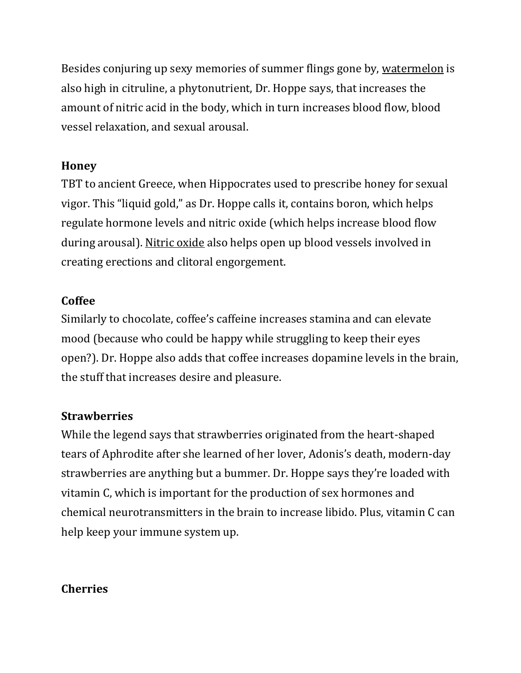Besides conjuring up sexy memories of summer flings gone by, [watermelon](https://health.usnews.com/health-news/family-health/sexual-and-reproductive-health/articles/2008/08/19/the-science-of-aphrodisiacs) is also high in citruline, a phytonutrient, Dr. Hoppe says, that increases the amount of nitric acid in the body, which in turn increases blood flow, blood vessel relaxation, and sexual arousal.

#### **Honey**

TBT to ancient Greece, when Hippocrates used to prescribe honey for sexual vigor. This "liquid gold," as Dr. Hoppe calls it, contains boron, which helps regulate hormone levels and nitric oxide (which helps increase blood flow during arousal). [Nitric oxide](https://www.ncbi.nlm.nih.gov/pubmed/7532834) also helps open up blood vessels involved in creating erections and clitoral engorgement.

## **Coffee**

Similarly to chocolate, coffee's caffeine increases stamina and can elevate mood (because who could be happy while struggling to keep their eyes open?). Dr. Hoppe also adds that coffee increases dopamine levels in the brain, the stuff that increases desire and pleasure.

#### **Strawberries**

While the legend says that strawberries originated from the heart-shaped tears of Aphrodite after she learned of her lover, Adonis's death, modern-day strawberries are anything but a bummer. Dr. Hoppe says they're loaded with vitamin C, which is important for the production of sex hormones and chemical neurotransmitters in the brain to increase libido. Plus, vitamin C can help keep your immune system up.

# **Cherries**